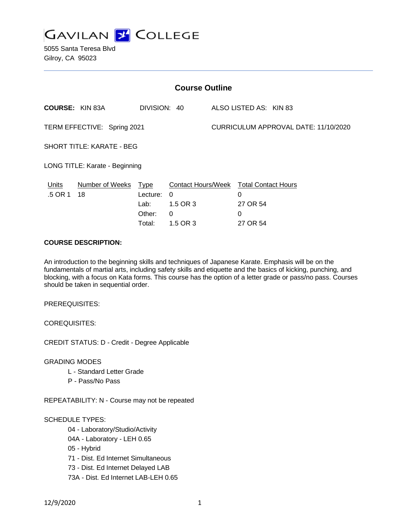

5055 Santa Teresa Blvd Gilroy, CA 95023

| <b>Course Outline</b>            |                              |                                           |                                                                     |                                      |                        |  |  |
|----------------------------------|------------------------------|-------------------------------------------|---------------------------------------------------------------------|--------------------------------------|------------------------|--|--|
|                                  | <b>COURSE: KIN 83A</b>       | DIVISION: 40                              |                                                                     |                                      | ALSO LISTED AS: KIN 83 |  |  |
| TERM EFFECTIVE: Spring 2021      |                              |                                           |                                                                     | CURRICULUM APPROVAL DATE: 11/10/2020 |                        |  |  |
| <b>SHORT TITLE: KARATE - BEG</b> |                              |                                           |                                                                     |                                      |                        |  |  |
| LONG TITLE: Karate - Beginning   |                              |                                           |                                                                     |                                      |                        |  |  |
| <b>Units</b><br>.5 OR 1          | <b>Number of Weeks</b><br>18 | <u>Type</u><br>Lecture:<br>Lab:<br>Other: | Contact Hours/Week Total Contact Hours<br>$\Omega$<br>1.5 OR 3<br>0 |                                      | 0<br>27 OR 54<br>0     |  |  |
|                                  |                              | Total:                                    | 1.5 OR 3                                                            |                                      | 27 OR 54               |  |  |

## **COURSE DESCRIPTION:**

An introduction to the beginning skills and techniques of Japanese Karate. Emphasis will be on the fundamentals of martial arts, including safety skills and etiquette and the basics of kicking, punching, and blocking, with a focus on Kata forms. This course has the option of a letter grade or pass/no pass. Courses should be taken in sequential order.

PREREQUISITES:

COREQUISITES:

CREDIT STATUS: D - Credit - Degree Applicable

GRADING MODES

- L Standard Letter Grade
- P Pass/No Pass

REPEATABILITY: N - Course may not be repeated

SCHEDULE TYPES:

- 04 Laboratory/Studio/Activity
- 04A Laboratory LEH 0.65
- 05 Hybrid
- 71 Dist. Ed Internet Simultaneous
- 73 Dist. Ed Internet Delayed LAB
- 73A Dist. Ed Internet LAB-LEH 0.65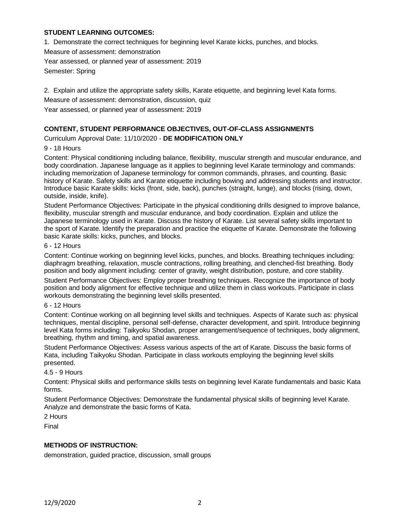## **STUDENT LEARNING OUTCOMES:**

1. Demonstrate the correct techniques for beginning level Karate kicks, punches, and blocks.

Measure of assessment: demonstration

Year assessed, or planned year of assessment: 2019

Semester: Spring

2. Explain and utilize the appropriate safety skills, Karate etiquette, and beginning level Kata forms.

Measure of assessment: demonstration, discussion, quiz

Year assessed, or planned year of assessment: 2019

## **CONTENT, STUDENT PERFORMANCE OBJECTIVES, OUT-OF-CLASS ASSIGNMENTS**

Curriculum Approval Date: 11/10/2020 - **DE MODIFICATION ONLY**

### 9 - 18 Hours

Content: Physical conditioning including balance, flexibility, muscular strength and muscular endurance, and body coordination. Japanese language as it applies to beginning level Karate terminology and commands: including memorization of Japanese terminology for common commands, phrases, and counting. Basic history of Karate. Safety skills and Karate etiquette including bowing and addressing students and instructor. Introduce basic Karate skills: kicks (front, side, back), punches (straight, lunge), and blocks (rising, down, outside, inside, knife).

Student Performance Objectives: Participate in the physical conditioning drills designed to improve balance, flexibility, muscular strength and muscular endurance, and body coordination. Explain and utilize the Japanese terminology used in Karate. Discuss the history of Karate. List several safety skills important to the sport of Karate. Identify the preparation and practice the etiquette of Karate. Demonstrate the following basic Karate skills: kicks, punches, and blocks.

#### 6 - 12 Hours

Content: Continue working on beginning level kicks, punches, and blocks. Breathing techniques including: diaphragm breathing, relaxation, muscle contractions, rolling breathing, and clenched-fist breathing. Body position and body alignment including: center of gravity, weight distribution, posture, and core stability.

Student Performance Objectives: Employ proper breathing techniques. Recognize the importance of body position and body alignment for effective technique and utilize them in class workouts. Participate in class workouts demonstrating the beginning level skills presented.

#### 6 - 12 Hours

Content: Continue working on all beginning level skills and techniques. Aspects of Karate such as: physical techniques, mental discipline, personal self-defense, character development, and spirit. Introduce beginning level Kata forms including: Taikyoku Shodan, proper arrangement/sequence of techniques, body alignment, breathing, rhythm and timing, and spatial awareness.

Student Performance Objectives: Assess various aspects of the art of Karate. Discuss the basic forms of Kata, including Taikyoku Shodan. Participate in class workouts employing the beginning level skills presented.

#### 4.5 - 9 Hours

Content: Physical skills and performance skills tests on beginning level Karate fundamentals and basic Kata forms.

Student Performance Objectives: Demonstrate the fundamental physical skills of beginning level Karate. Analyze and demonstrate the basic forms of Kata.

2 Hours

Final

## **METHODS OF INSTRUCTION:**

demonstration, guided practice, discussion, small groups